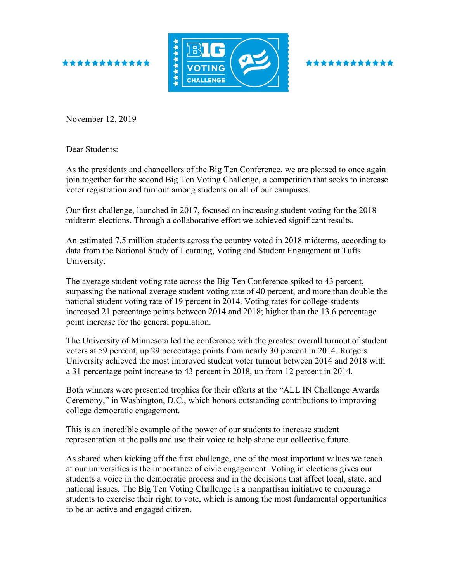



\*\*\*\*\*\*\*\*

November 12, 2019

Dear Students:

As the presidents and chancellors of the Big Ten Conference, we are pleased to once again join together for the second Big Ten Voting Challenge, a competition that seeks to increase voter registration and turnout among students on all of our campuses.

Our first challenge, launched in 2017, focused on increasing student voting for the 2018 midterm elections. Through a collaborative effort we achieved significant results.

An estimated 7.5 million students across the country voted in 2018 midterms, according to data from the National Study of Learning, Voting and Student Engagement at Tufts University.

The average student voting rate across the Big Ten Conference spiked to 43 percent, surpassing the national average student voting rate of 40 percent, and more than double the national student voting rate of 19 percent in 2014. Voting rates for college students increased 21 percentage points between 2014 and 2018; higher than the 13.6 percentage point increase for the general population.

The University of Minnesota led the conference with the greatest overall turnout of student voters at 59 percent, up 29 percentage points from nearly 30 percent in 2014. Rutgers University achieved the most improved student voter turnout between 2014 and 2018 with a 31 percentage point increase to 43 percent in 2018, up from 12 percent in 2014.

Both winners were presented trophies for their efforts at the "ALL IN Challenge Awards Ceremony," in Washington, D.C., which honors outstanding contributions to improving college democratic engagement.

This is an incredible example of the power of our students to increase student representation at the polls and use their voice to help shape our collective future.

As shared when kicking off the first challenge, one of the most important values we teach at our universities is the importance of civic engagement. Voting in elections gives our students a voice in the democratic process and in the decisions that affect local, state, and national issues. The Big Ten Voting Challenge is a nonpartisan initiative to encourage students to exercise their right to vote, which is among the most fundamental opportunities to be an active and engaged citizen.